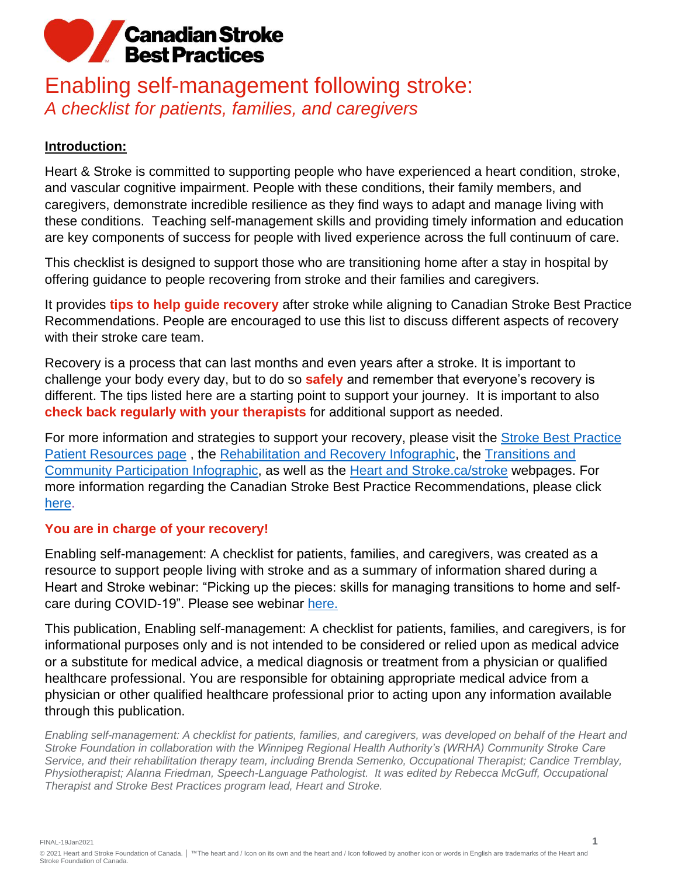### Enabling self-management following stroke: *A checklist for patients, families, and caregivers*

#### **Introduction:**

Heart & Stroke is committed to supporting people who have experienced a heart condition, stroke, and vascular cognitive impairment. People with these conditions, their family members, and caregivers, demonstrate incredible resilience as they find ways to adapt and manage living with these conditions. Teaching self-management skills and providing timely information and education are key components of success for people with lived experience across the full continuum of care.

This checklist is designed to support those who are transitioning home after a stay in hospital by offering guidance to people recovering from stroke and their families and caregivers.

It provides **tips to help guide recovery** after stroke while aligning to Canadian Stroke Best Practice Recommendations. People are encouraged to use this list to discuss different aspects of recovery with their stroke care team.

Recovery is a process that can last months and even years after a stroke. It is important to challenge your body every day, but to do so **safely** and remember that everyone's recovery is different. The tips listed here are a starting point to support your journey. It is important to also **check back regularly with your therapists** for additional support as needed.

For more information and strategies to support your recovery, please visit the Stroke Best Practice [Patient Resources page](https://www.strokebestpractices.ca/resources/patient-resources) , the [Rehabilitation and Recovery Infographic,](https://www.heartandstroke.ca/-/media/1-stroke-best-practices/rehabilitation-nov2019/csbp-infographic-rehabilitation.ashx?rev=a2cff1fb27424c84bbd44b568d58d1b4) the [Transitions and](https://www.heartandstroke.ca/-/media/1-stroke-best-practices/transition-of-care-nov2019/csbp-infographic-transitions-and-participation.ashx?rev=595e990a17e14232aa3b1c731d983ce3)  [Community Participation Infographic,](https://www.heartandstroke.ca/-/media/1-stroke-best-practices/transition-of-care-nov2019/csbp-infographic-transitions-and-participation.ashx?rev=595e990a17e14232aa3b1c731d983ce3) as well as the [Heart and Stroke.ca/stroke](https://www.heartandstroke.ca/stroke) webpages. For more information regarding the Canadian Stroke Best Practice Recommendations, please click [here.](https://www.strokebestpractices.ca/recommendations)

#### **You are in charge of your recovery!**

Enabling self-management: A checklist for patients, families, and caregivers, was created as a resource to support people living with stroke and as a summary of information shared during a Heart and Stroke webinar: "Picking up the pieces: skills for managing transitions to home and selfcare during COVID-19". Please see webinar [here.](https://www.youtube.com/watch?v=FUWYwd7-UXQ&feature=youtu.be)

This publication, Enabling self-management: A checklist for patients, families, and caregivers, is for informational purposes only and is not intended to be considered or relied upon as medical advice or a substitute for medical advice, a medical diagnosis or treatment from a physician or qualified healthcare professional. You are responsible for obtaining appropriate medical advice from a physician or other qualified healthcare professional prior to acting upon any information available through this publication.

*Enabling self-management: A checklist for patients, families, and caregivers, was developed on behalf of the Heart and Stroke Foundation in collaboration with the Winnipeg Regional Health Authority's (WRHA) Community Stroke Care Service, and their rehabilitation therapy team, including Brenda Semenko, Occupational Therapist; Candice Tremblay, Physiotherapist; Alanna Friedman, Speech-Language Pathologist. It was edited by Rebecca McGuff, Occupational Therapist and Stroke Best Practices program lead, Heart and Stroke.*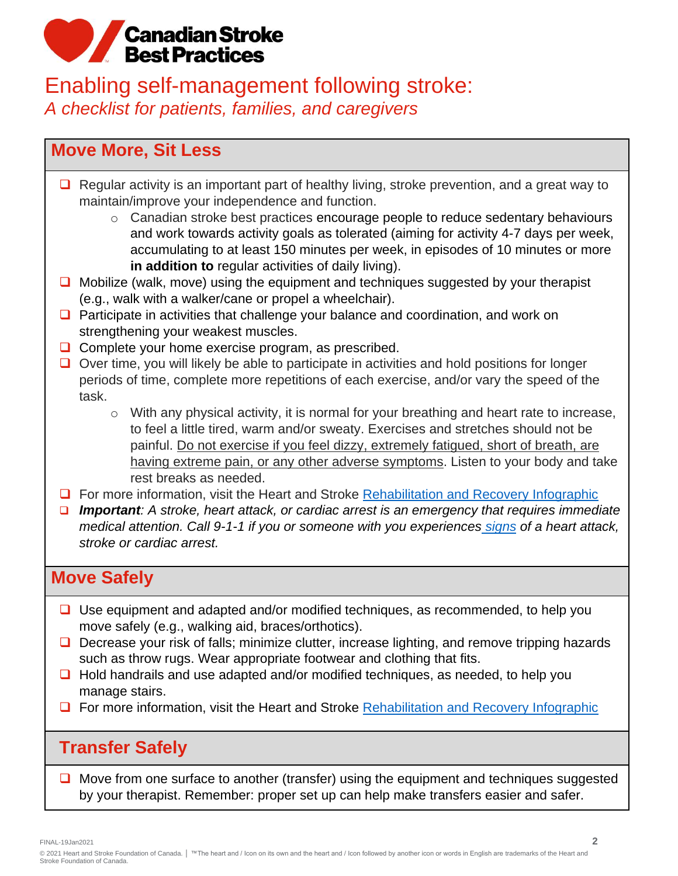### Enabling self-management following stroke: *A checklist for patients, families, and caregivers*

### **Move More, Sit Less**

- ❑ Regular activity is an important part of healthy living, stroke prevention, and a great way to maintain/improve your independence and function.
	- o Canadian stroke best practices encourage people to reduce sedentary behaviours and work towards activity goals as tolerated (aiming for activity 4-7 days per week, accumulating to at least 150 minutes per week, in episodes of 10 minutes or more **in addition to** regular activities of daily living).
- ❑ Mobilize (walk, move) using the equipment and techniques suggested by your therapist (e.g., walk with a walker/cane or propel a wheelchair).
- ❑ Participate in activities that challenge your balance and coordination, and work on strengthening your weakest muscles.
- ❑ Complete your home exercise program, as prescribed.
- ❑ Over time, you will likely be able to participate in activities and hold positions for longer periods of time, complete more repetitions of each exercise, and/or vary the speed of the task.
	- o With any physical activity, it is normal for your breathing and heart rate to increase, to feel a little tired, warm and/or sweaty. Exercises and stretches should not be painful. Do not exercise if you feel dizzy, extremely fatigued, short of breath, are having extreme pain, or any other adverse symptoms. Listen to your body and take rest breaks as needed.
- ❑ For more information, visit the Heart and Stroke [Rehabilitation and Recovery Infographic](https://www.heartandstroke.ca/-/media/1-stroke-best-practices/rehabilitation-nov2019/csbp-infographic-rehabilitation.ashx?rev=a2cff1fb27424c84bbd44b568d58d1b4)
- ❑ *Important: A stroke, heart attack, or cardiac arrest is an emergency that requires immediate medical attention. Call 9-1-1 if you or someone with you experiences [signs](https://www.heartandstroke.ca/heart/emergency-signs/heart-attack-and-stroke?utm_source=website&utm_medium=alert_banner&utm_campaign=urgent_alert_PSA&_ga=2.198126374.824220922.1589908558-1450901720.1583776708&_gac=1.212059808.1589199884.EAIaIQobChMIg7Hf5Oar6QIViJOzCh062QcOEAAYASAAEgJeVvD_BwE) of a [heart attack,](https://www.heartandstroke.ca/heart/emergency-signs) [stroke](https://www.heartandstroke.ca/stroke/signs-of-stroke) or [cardiac arrest.](https://www.heartandstroke.ca/heart/emergency-signs)*

#### **Move Safely**

- ❑ Use equipment and adapted and/or modified techniques, as recommended, to help you move safely (e.g., walking aid, braces/orthotics).
- Decrease your risk of falls; minimize clutter, increase lighting, and remove tripping hazards such as throw rugs. Wear appropriate footwear and clothing that fits.
- ❑ Hold handrails and use adapted and/or modified techniques, as needed, to help you manage stairs.
- □ For more information, visit the Heart and Stroke [Rehabilitation and Recovery Infographic](https://www.heartandstroke.ca/-/media/1-stroke-best-practices/rehabilitation-nov2019/csbp-infographic-rehabilitation.ashx?rev=a2cff1fb27424c84bbd44b568d58d1b4)

### **Transfer Safely**

❑ Move from one surface to another (transfer) using the equipment and techniques suggested by your therapist. Remember: proper set up can help make transfers easier and safer.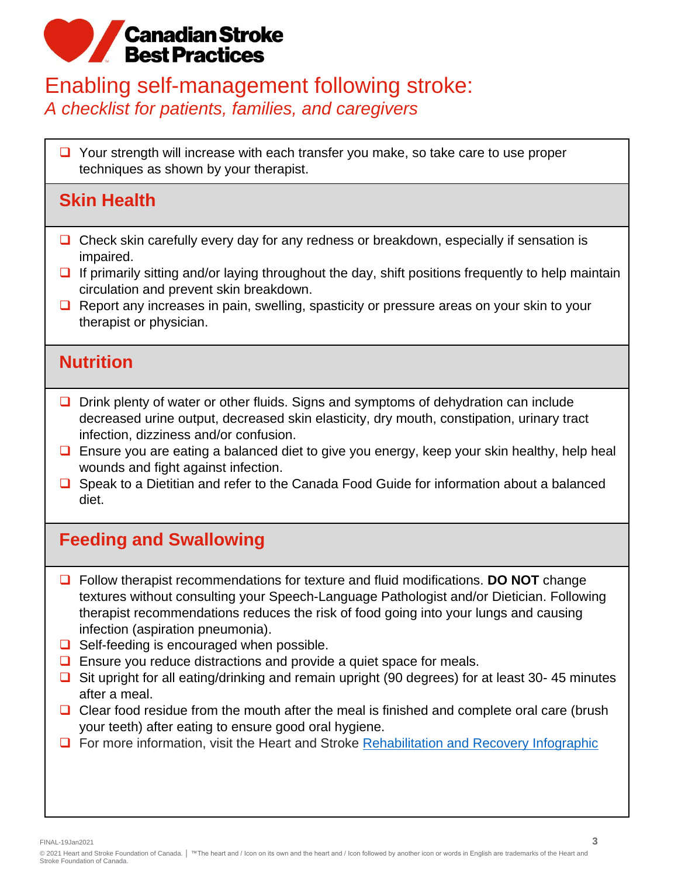#### Enabling self-management following stroke: *A checklist for patients, families, and caregivers*

❑ Your strength will increase with each transfer you make, so take care to use proper techniques as shown by your therapist.

### **Skin Health**

- ❑ Check skin carefully every day for any redness or breakdown, especially if sensation is impaired.
- $\Box$  If primarily sitting and/or laying throughout the day, shift positions frequently to help maintain circulation and prevent skin breakdown.
- ❑ Report any increases in pain, swelling, spasticity or pressure areas on your skin to your therapist or physician.

#### **Nutrition**

- ❑ Drink plenty of water or other fluids. Signs and symptoms of dehydration can include decreased urine output, decreased skin elasticity, dry mouth, constipation, urinary tract infection, dizziness and/or confusion.
- ❑ Ensure you are eating a balanced diet to give you energy, keep your skin healthy, help heal wounds and fight against infection.
- ❑ Speak to a Dietitian and refer to the Canada Food Guide for information about a balanced diet.

## **Feeding and Swallowing**

- ❑ Follow therapist recommendations for texture and fluid modifications. **DO NOT** change textures without consulting your Speech-Language Pathologist and/or Dietician. Following therapist recommendations reduces the risk of food going into your lungs and causing infection (aspiration pneumonia).
- ❑ Self-feeding is encouraged when possible.
- ❑ Ensure you reduce distractions and provide a quiet space for meals.
- ❑ Sit upright for all eating/drinking and remain upright (90 degrees) for at least 30- 45 minutes after a meal.
- Clear food residue from the mouth after the meal is finished and complete oral care (brush your teeth) after eating to ensure good oral hygiene.
- ❑ For more information, visit the Heart and Stroke [Rehabilitation and Recovery Infographic](https://www.heartandstroke.ca/-/media/1-stroke-best-practices/rehabilitation-nov2019/csbp-infographic-rehabilitation.ashx?rev=a2cff1fb27424c84bbd44b568d58d1b4)

FINAL-19Jan2021 **3**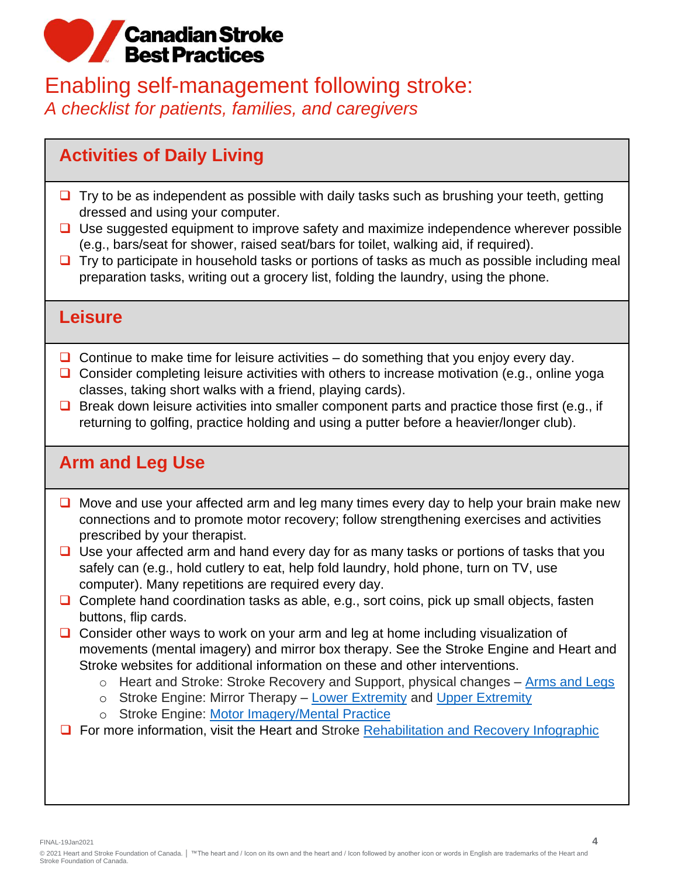#### Enabling self-management following stroke: *A checklist for patients, families, and caregivers*

## **Activities of Daily Living**

- Try to be as independent as possible with daily tasks such as brushing your teeth, getting dressed and using your computer.
- ❑ Use suggested equipment to improve safety and maximize independence wherever possible (e.g., bars/seat for shower, raised seat/bars for toilet, walking aid, if required).
- Try to participate in household tasks or portions of tasks as much as possible including meal preparation tasks, writing out a grocery list, folding the laundry, using the phone.

#### **Leisure**

- $\Box$  Continue to make time for leisure activities do something that you enjoy every day.
- Consider completing leisure activities with others to increase motivation (e.g., online yoga classes, taking short walks with a friend, playing cards).
- ❑ Break down leisure activities into smaller component parts and practice those first (e.g., if returning to golfing, practice holding and using a putter before a heavier/longer club).

## **Arm and Leg Use**

- ❑ Move and use your affected arm and leg many times every day to help your brain make new connections and to promote motor recovery; follow strengthening exercises and activities prescribed by your therapist.
- ❑ Use your affected arm and hand every day for as many tasks or portions of tasks that you safely can (e.g., hold cutlery to eat, help fold laundry, hold phone, turn on TV, use computer). Many repetitions are required every day.
- ❑ Complete hand coordination tasks as able, e.g., sort coins, pick up small objects, fasten buttons, flip cards.
- ❑ Consider other ways to work on your arm and leg at home including visualization of movements (mental imagery) and mirror box therapy. See the Stroke Engine and Heart and Stroke websites for additional information on these and other interventions.
	- o Heart and Stroke: Stroke Recovery and Support, physical changes [Arms and Legs](https://www.heartandstroke.ca/stroke/recovery-and-support/physical-changes/arms-and-legs)
	- o Stroke Engine: Mirror Therapy [Lower Extremity](https://strokengine.ca/en/interventions/mirror-therapy-lower-extremity/) and [Upper Extremity](https://strokengine.ca/en/interventions/mirror-therapy-upper-extremity/)
	- o Stroke Engine: [Motor Imagery/Mental Practice](https://strokengine.ca/en/interventions/motor-imagery-mental-practice/)
- □ For more information, visit the Heart and Stroke [Rehabilitation and Recovery Infographic](https://www.heartandstroke.ca/-/media/1-stroke-best-practices/rehabilitation-nov2019/csbp-infographic-rehabilitation.ashx?rev=a2cff1fb27424c84bbd44b568d58d1b4)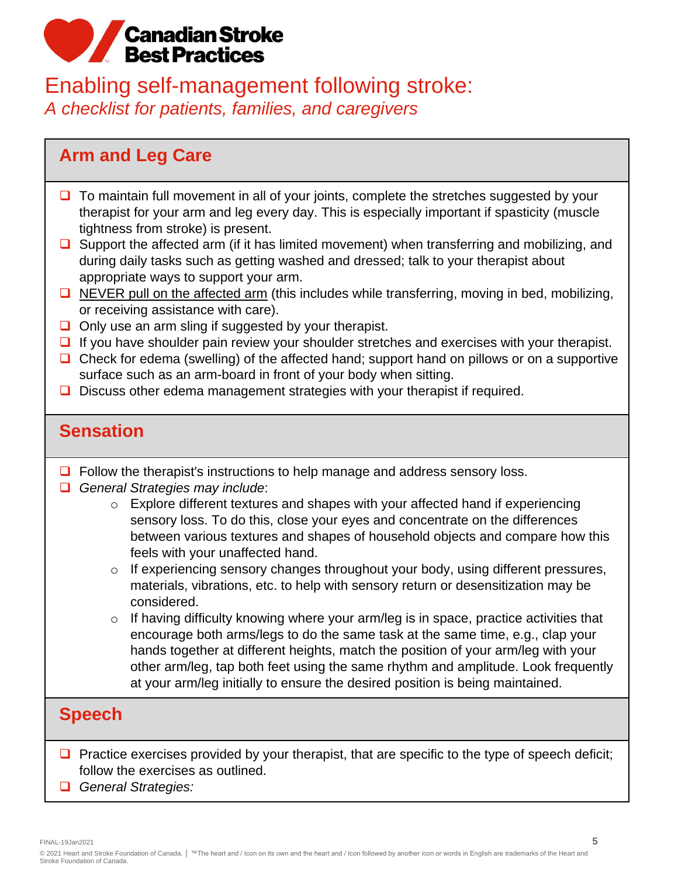### Enabling self-management following stroke: *A checklist for patients, families, and caregivers*

#### **Arm and Leg Care**

- To maintain full movement in all of your joints, complete the stretches suggested by your therapist for your arm and leg every day. This is especially important if spasticity (muscle tightness from stroke) is present.
- ❑ Support the affected arm (if it has limited movement) when transferring and mobilizing, and during daily tasks such as getting washed and dressed; talk to your therapist about appropriate ways to support your arm.
- □ NEVER pull on the affected arm (this includes while transferring, moving in bed, mobilizing, or receiving assistance with care).
- ❑ Only use an arm sling if suggested by your therapist.
- □ If you have shoulder pain review your shoulder stretches and exercises with your therapist.
- □ Check for edema (swelling) of the affected hand; support hand on pillows or on a supportive surface such as an arm-board in front of your body when sitting.
- ❑ Discuss other edema management strategies with your therapist if required.

#### **Sensation**

- ❑ Follow the therapist's instructions to help manage and address sensory loss.
- ❑ *General Strategies may include*:
	- $\circ$  Explore different textures and shapes with your affected hand if experiencing sensory loss. To do this, close your eyes and concentrate on the differences between various textures and shapes of household objects and compare how this feels with your unaffected hand.
	- o If experiencing sensory changes throughout your body, using different pressures, materials, vibrations, etc. to help with sensory return or desensitization may be considered.
	- $\circ$  If having difficulty knowing where your arm/leg is in space, practice activities that encourage both arms/legs to do the same task at the same time, e.g., clap your hands together at different heights, match the position of your arm/leg with your other arm/leg, tap both feet using the same rhythm and amplitude. Look frequently at your arm/leg initially to ensure the desired position is being maintained.

#### **Speech**

- □ Practice exercises provided by your therapist, that are specific to the type of speech deficit; follow the exercises as outlined.
- ❑ *General Strategies:*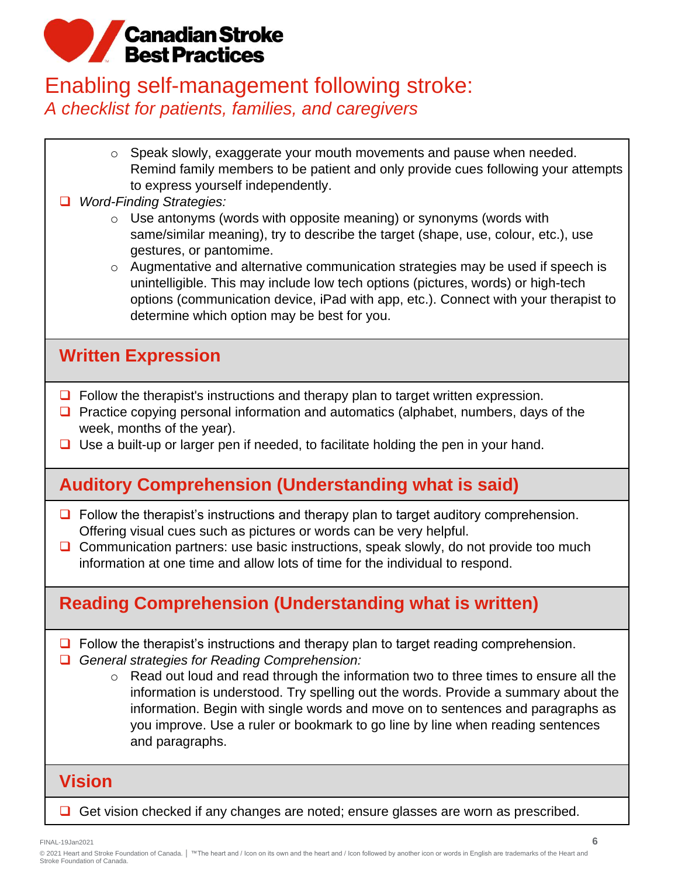### Enabling self-management following stroke: *A checklist for patients, families, and caregivers*

- o Speak slowly, exaggerate your mouth movements and pause when needed. Remind family members to be patient and only provide cues following your attempts to express yourself independently.
- ❑ *Word-Finding Strategies:*
	- $\circ$  Use antonyms (words with opposite meaning) or synonyms (words with same/similar meaning), try to describe the target (shape, use, colour, etc.), use gestures, or pantomime.
	- o Augmentative and alternative communication strategies may be used if speech is unintelligible. This may include low tech options (pictures, words) or high-tech options (communication device, iPad with app, etc.). Connect with your therapist to determine which option may be best for you.

## **Written Expression**

- ❑ Follow the therapist's instructions and therapy plan to target written expression.
- Practice copying personal information and automatics (alphabet, numbers, days of the week, months of the year).
- ❑ Use a built-up or larger pen if needed, to facilitate holding the pen in your hand.

## **Auditory Comprehension (Understanding what is said)**

- ❑ Follow the therapist's instructions and therapy plan to target auditory comprehension. Offering visual cues such as pictures or words can be very helpful.
- □ Communication partners: use basic instructions, speak slowly, do not provide too much information at one time and allow lots of time for the individual to respond.

## **Reading Comprehension (Understanding what is written)**

- ❑ Follow the therapist's instructions and therapy plan to target reading comprehension.
- ❑ *General strategies for Reading Comprehension:*
	- o Read out loud and read through the information two to three times to ensure all the information is understood. Try spelling out the words. Provide a summary about the information. Begin with single words and move on to sentences and paragraphs as you improve. Use a ruler or bookmark to go line by line when reading sentences and paragraphs.

### **Vision**

❑ Get vision checked if any changes are noted; ensure glasses are worn as prescribed.

FINAL-19Jan2021 **6**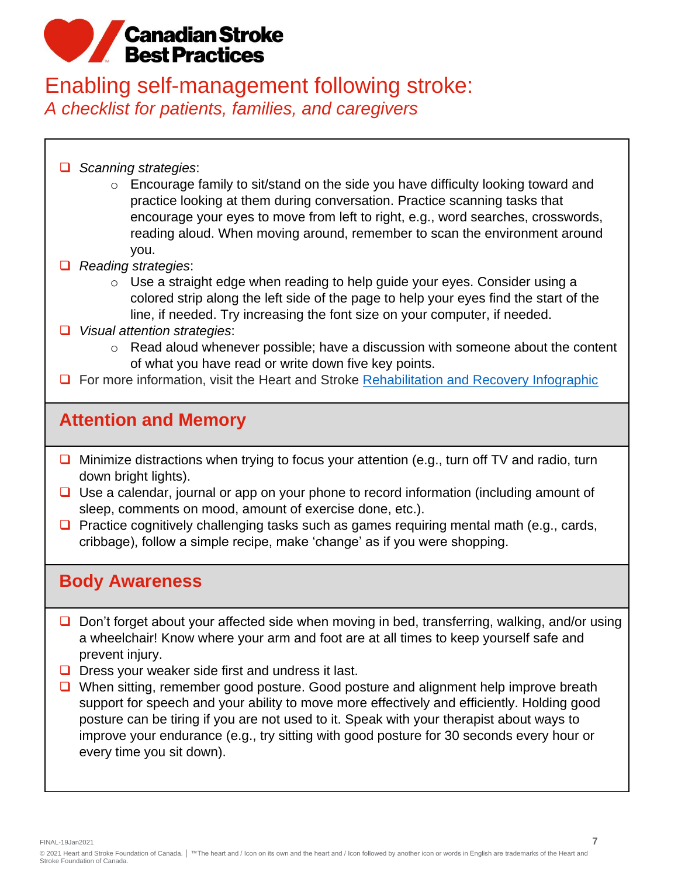### Enabling self-management following stroke: *A checklist for patients, families, and caregivers*

- ❑ *Scanning strategies*:
	- o Encourage family to sit/stand on the side you have difficulty looking toward and practice looking at them during conversation. Practice scanning tasks that encourage your eyes to move from left to right, e.g., word searches, crosswords, reading aloud. When moving around, remember to scan the environment around you.
- ❑ *Reading strategies*:
	- o Use a straight edge when reading to help guide your eyes. Consider using a colored strip along the left side of the page to help your eyes find the start of the line, if needed. Try increasing the font size on your computer, if needed.
- ❑ *Visual attention strategies*:
	- o Read aloud whenever possible; have a discussion with someone about the content of what you have read or write down five key points.
- □ For more information, visit the Heart and Stroke [Rehabilitation and Recovery Infographic](https://www.heartandstroke.ca/-/media/1-stroke-best-practices/rehabilitation-nov2019/csbp-infographic-rehabilitation.ashx?rev=a2cff1fb27424c84bbd44b568d58d1b4)

### **Attention and Memory**

- Minimize distractions when trying to focus your attention (e.g., turn off TV and radio, turn down bright lights).
- ❑ Use a calendar, journal or app on your phone to record information (including amount of sleep, comments on mood, amount of exercise done, etc.).
- ❑ Practice cognitively challenging tasks such as games requiring mental math (e.g., cards, cribbage), follow a simple recipe, make 'change' as if you were shopping.

#### **Body Awareness**

- ❑ Don't forget about your affected side when moving in bed, transferring, walking, and/or using a wheelchair! Know where your arm and foot are at all times to keep yourself safe and prevent injury.
- ❑ Dress your weaker side first and undress it last.
- ❑ When sitting, remember good posture. Good posture and alignment help improve breath support for speech and your ability to move more effectively and efficiently. Holding good posture can be tiring if you are not used to it. Speak with your therapist about ways to improve your endurance (e.g., try sitting with good posture for 30 seconds every hour or every time you sit down).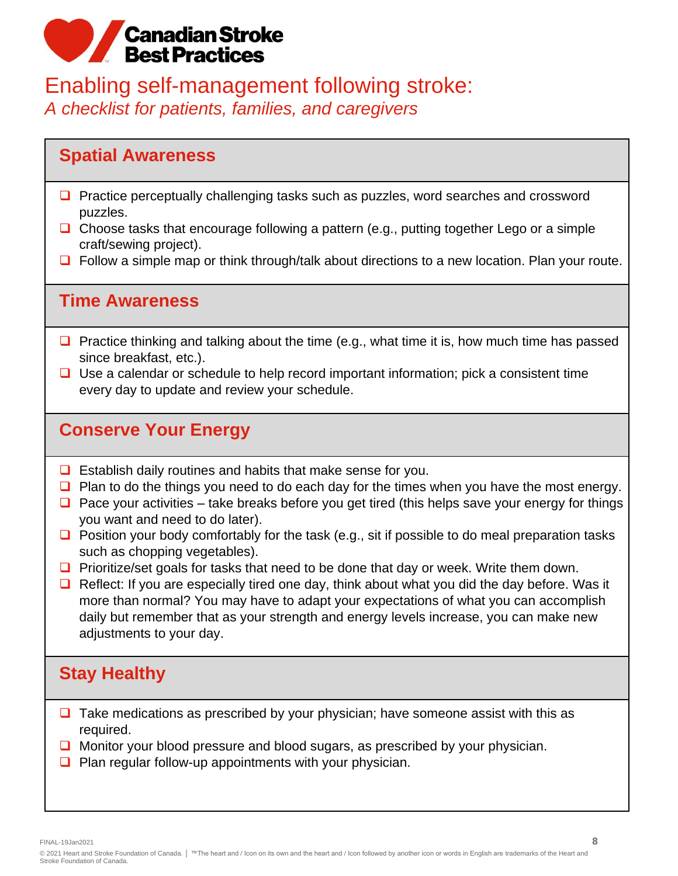### Enabling self-management following stroke: *A checklist for patients, families, and caregivers*

#### **Spatial Awareness**

- Practice perceptually challenging tasks such as puzzles, word searches and crossword puzzles.
- ❑ Choose tasks that encourage following a pattern (e.g., putting together Lego or a simple craft/sewing project).
- ❑ Follow a simple map or think through/talk about directions to a new location. Plan your route.

#### **Time Awareness**

- $\Box$  Practice thinking and talking about the time (e.g., what time it is, how much time has passed since breakfast, etc.).
- ❑ Use a calendar or schedule to help record important information; pick a consistent time every day to update and review your schedule.

#### **Conserve Your Energy**

- ❑ Establish daily routines and habits that make sense for you.
- □ Plan to do the things you need to do each day for the times when you have the most energy.
- $\Box$  Pace your activities take breaks before you get tired (this helps save your energy for things you want and need to do later).
- $\Box$  Position your body comfortably for the task (e.g., sit if possible to do meal preparation tasks such as chopping vegetables).
- ❑ Prioritize/set goals for tasks that need to be done that day or week. Write them down.
- ❑ Reflect: If you are especially tired one day, think about what you did the day before. Was it more than normal? You may have to adapt your expectations of what you can accomplish daily but remember that as your strength and energy levels increase, you can make new adjustments to your day.

### **Stay Healthy**

- ❑ Take medications as prescribed by your physician; have someone assist with this as required.
- ❑ Monitor your blood pressure and blood sugars, as prescribed by your physician.
- ❑ Plan regular follow-up appointments with your physician.

FINAL-19Jan2021 **8**